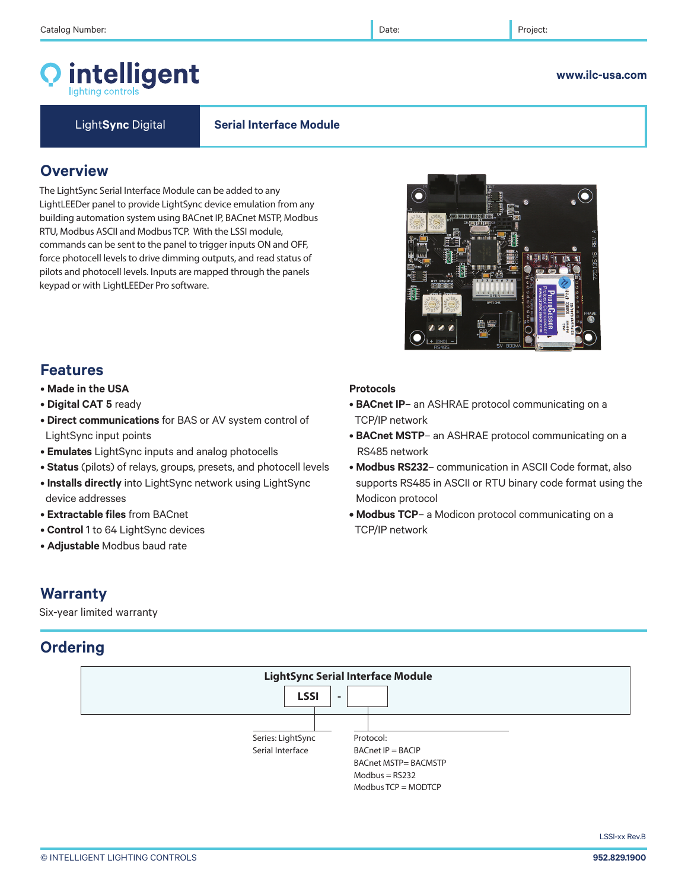# intelligent

#### **www.ilc-usa.com**

Light**Sync** Digital **Serial Interface Module**

# **Overview**

The LightSync Serial Interface Module can be added to any LightLEEDer panel to provide LightSync device emulation from any building automation system using BACnet IP, BACnet MSTP, Modbus RTU, Modbus ASCII and Modbus TCP. With the LSSI module, commands can be sent to the panel to trigger inputs ON and OFF, force photocell levels to drive dimming outputs, and read status of pilots and photocell levels. Inputs are mapped through the panels keypad or with LightLEEDer Pro software.



• **BACnet IP**– an ASHRAE protocol communicating on a

• **BACnet MSTP**– an ASHRAE protocol communicating on a

• **Modbus RS232**– communication in ASCII Code format, also supports RS485 in ASCII or RTU binary code format using the

**• Modbus TCP**– a Modicon protocol communicating on a

# **Features**

- **Made in the USA**
- **Digital CAT 5** ready
- **Direct communications** for BAS or AV system control of LightSync input points
- **Emulates** LightSync inputs and analog photocells
- **Status** (pilots) of relays, groups, presets, and photocell levels
- **Installs directly** into LightSync network using LightSync device addresses
- **Extractable files** from BACnet
- **Control** 1 to 64 LightSync devices
- **Adjustable** Modbus baud rate

# **Warranty**

Six-year limited warranty

# **Ordering**



**Protocols**

TCP/IP network

RS485 network

Modicon protocol

TCP/IP network